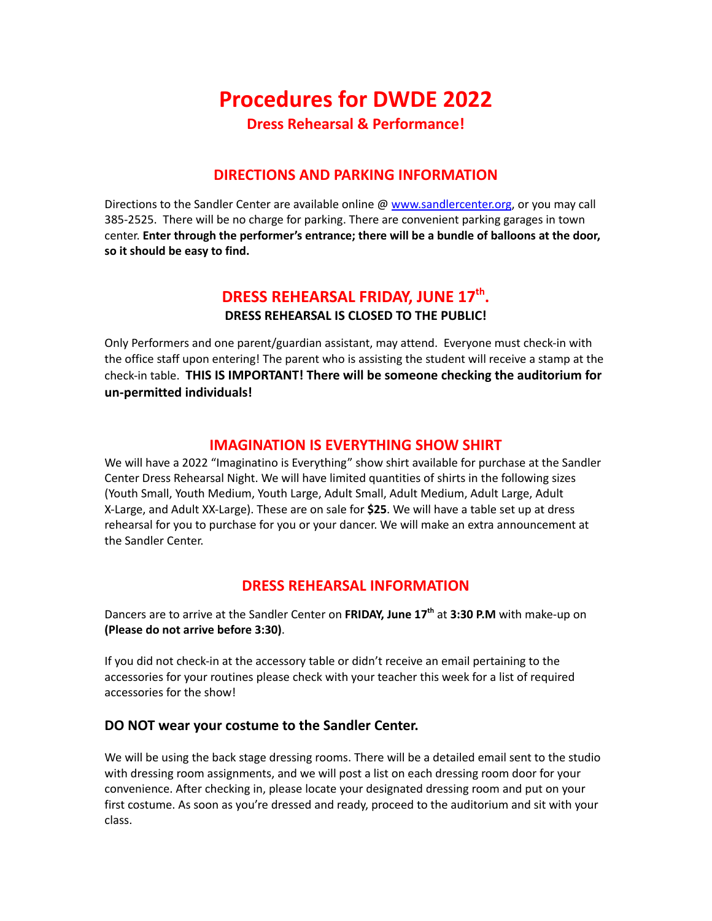# **Procedures for DWDE 2022 Dress Rehearsal & Performance!**

## **DIRECTIONS AND PARKING INFORMATION**

Directions to the Sandler Center are available online @ [www.sandlercenter.org](http://www.sandlercenter.org/), or you may call 385-2525. There will be no charge for parking. There are convenient parking garages in town center. **Enter through the performer's entrance; there will be a bundle of balloons at the door, so it should be easy to find.**

# **DRESS REHEARSAL FRIDAY, JUNE 17th . DRESS REHEARSAL IS CLOSED TO THE PUBLIC!**

Only Performers and one parent/guardian assistant, may attend. Everyone must check-in with the office staff upon entering! The parent who is assisting the student will receive a stamp at the check-in table. **THIS IS IMPORTANT! There will be someone checking the auditorium for un-permitted individuals!**

#### **IMAGINATION IS EVERYTHING SHOW SHIRT**

We will have a 2022 "Imaginatino is Everything" show shirt available for purchase at the Sandler Center Dress Rehearsal Night. We will have limited quantities of shirts in the following sizes (Youth Small, Youth Medium, Youth Large, Adult Small, Adult Medium, Adult Large, Adult X-Large, and Adult XX-Large). These are on sale for **\$25**. We will have a table set up at dress rehearsal for you to purchase for you or your dancer. We will make an extra announcement at the Sandler Center.

### **DRESS REHEARSAL INFORMATION**

Dancers are to arrive at the Sandler Center on **FRIDAY, June 17 th** at **3:30 P.M** with make-up on **(Please do not arrive before 3:30)**.

If you did not check-in at the accessory table or didn't receive an email pertaining to the accessories for your routines please check with your teacher this week for a list of required accessories for the show!

#### **DO NOT wear your costume to the Sandler Center.**

We will be using the back stage dressing rooms. There will be a detailed email sent to the studio with dressing room assignments, and we will post a list on each dressing room door for your convenience. After checking in, please locate your designated dressing room and put on your first costume. As soon as you're dressed and ready, proceed to the auditorium and sit with your class.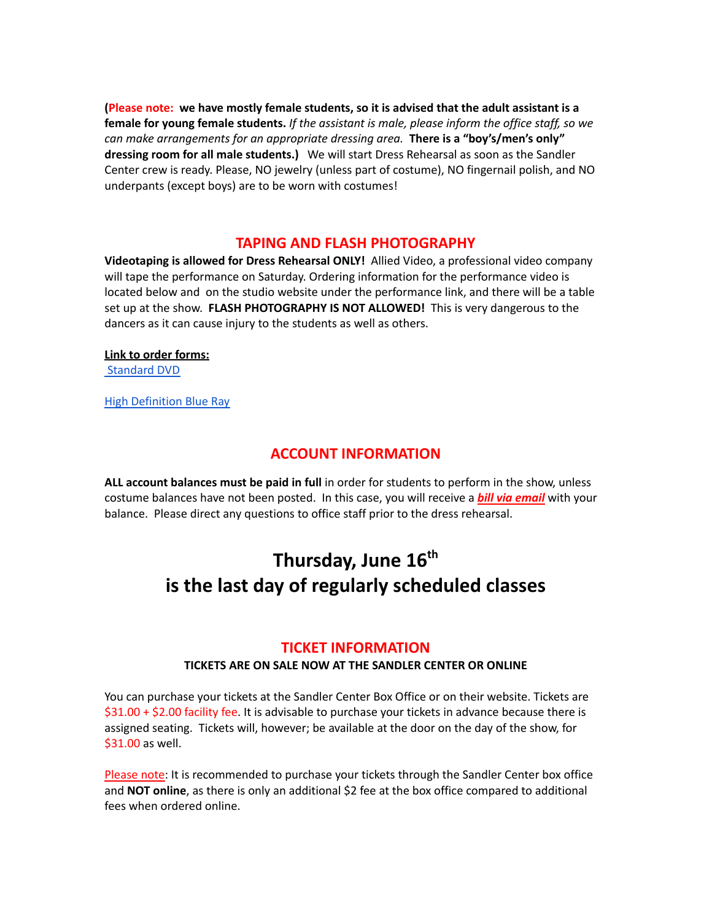**(Please note: we have mostly female students, so it is advised that the adult assistant is a female for young female students.** *If the assistant is male, please inform the office staff, so we can make arrangements for an appropriate dressing area.* **There is a "boy's/men's only" dressing room for all male students.)** We will start Dress Rehearsal as soon as the Sandler Center crew is ready. Please, NO jewelry (unless part of costume), NO fingernail polish, and NO underpants (except boys) are to be worn with costumes!

#### **TAPING AND FLASH PHOTOGRAPHY**

**Videotaping is allowed for Dress Rehearsal ONLY!** Allied Video, a professional video company will tape the performance on Saturday. Ordering information for the performance video is located below and on the studio website under the performance link, and there will be a table set up at the show. **FLASH PHOTOGRAPHY IS NOT ALLOWED!** This is very dangerous to the dancers as it can cause injury to the students as well as others.

#### **Link to order forms:**

[Standard](https://avsmarketingsolutions.com/product/denise-walls-dance-energy-recital-2022-imagination-is-everything-standard-definition) DVD

High [Definition](https://avsmarketingsolutions.com/product/denise-walls-dance-energy-recital-2022-imagination-is-everything-blu-ray-high-definition) Blue Ray

#### **ACCOUNT INFORMATION**

**ALL account balances must be paid in full** in order for students to perform in the show, unless costume balances have not been posted. In this case, you will receive a *bill via email* with your balance. Please direct any questions to office staff prior to the dress rehearsal.

# **Thursday, June 16th is the last day of regularly scheduled classes**

#### **TICKET INFORMATION**

#### **TICKETS ARE ON SALE NOW AT THE SANDLER CENTER OR ONLINE**

You can purchase your tickets at the Sandler Center Box Office or on their website. Tickets are \$31.00 + \$2.00 facility fee. It is advisable to purchase your tickets in advance because there is assigned seating. Tickets will, however; be available at the door on the day of the show, for \$31.00 as well.

Please note: It is recommended to purchase your tickets through the Sandler Center box office and **NOT online**, as there is only an additional \$2 fee at the box office compared to additional fees when ordered online.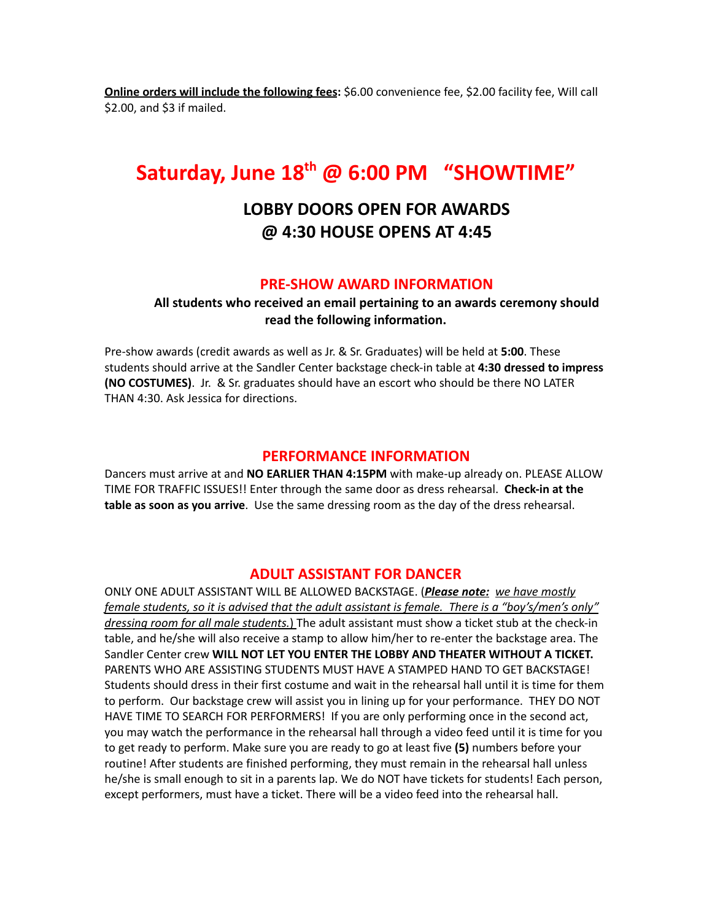**Online orders will include the following fees:** \$6.00 convenience fee, \$2.00 facility fee, Will call \$2.00, and \$3 if mailed.

# **Saturday, June 18 th @ 6:00 PM "SHOWTIME"**

# **LOBBY DOORS OPEN FOR AWARDS @ 4:30 HOUSE OPENS AT 4:45**

#### **PRE-SHOW AWARD INFORMATION**

**All students who received an email pertaining to an awards ceremony should read the following information.**

Pre-show awards (credit awards as well as Jr. & Sr. Graduates) will be held at **5:00**. These students should arrive at the Sandler Center backstage check-in table at **4:30 dressed to impress (NO COSTUMES)**. Jr. & Sr. graduates should have an escort who should be there NO LATER THAN 4:30. Ask Jessica for directions.

#### **PERFORMANCE INFORMATION**

Dancers must arrive at and **NO EARLIER THAN 4:15PM** with make-up already on. PLEASE ALLOW TIME FOR TRAFFIC ISSUES!! Enter through the same door as dress rehearsal. **Check-in at the table as soon as you arrive**. Use the same dressing room as the day of the dress rehearsal.

#### **ADULT ASSISTANT FOR DANCER**

ONLY ONE ADULT ASSISTANT WILL BE ALLOWED BACKSTAGE. (*Please note: we have mostly female students, so it is advised that the adult assistant is female. There is a "boy's/men's only" dressing room for all male students.*) The adult assistant must show a ticket stub at the check-in table, and he/she will also receive a stamp to allow him/her to re-enter the backstage area. The Sandler Center crew **WILL NOT LET YOU ENTER THE LOBBY AND THEATER WITHOUT A TICKET.** PARENTS WHO ARE ASSISTING STUDENTS MUST HAVE A STAMPED HAND TO GET BACKSTAGE! Students should dress in their first costume and wait in the rehearsal hall until it is time for them to perform. Our backstage crew will assist you in lining up for your performance. THEY DO NOT HAVE TIME TO SEARCH FOR PERFORMERS! If you are only performing once in the second act, you may watch the performance in the rehearsal hall through a video feed until it is time for you to get ready to perform. Make sure you are ready to go at least five **(5)** numbers before your routine! After students are finished performing, they must remain in the rehearsal hall unless he/she is small enough to sit in a parents lap. We do NOT have tickets for students! Each person, except performers, must have a ticket. There will be a video feed into the rehearsal hall.